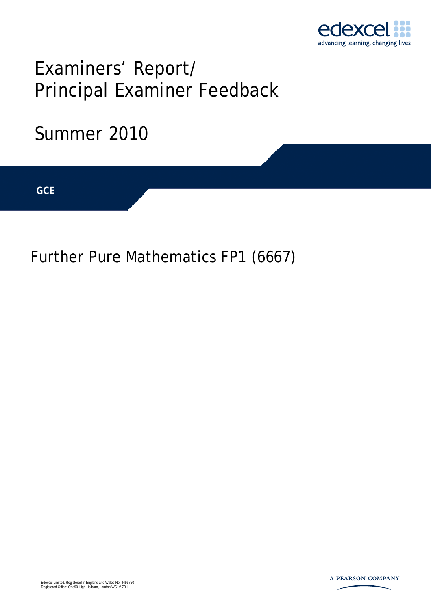

# Examiners' Report/ Principal Examiner Feedback

## Summer 2010

**IGCSE GCE** 

Further Pure Mathematics FP1 (6667)

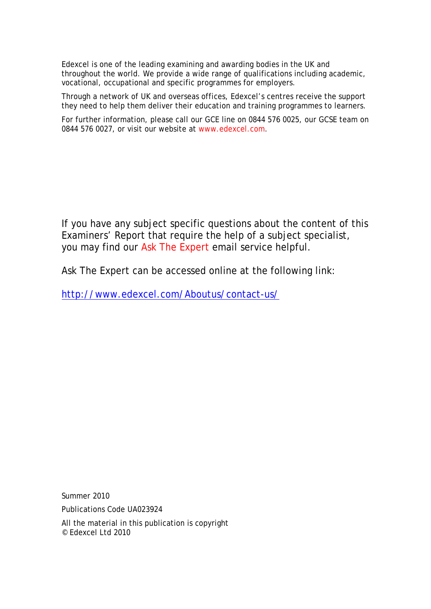Edexcel is one of the leading examining and awarding bodies in the UK and throughout the world. We provide a wide range of qualifications including academic, vocational, occupational and specific programmes for employers.

Through a network of UK and overseas offices, Edexcel's centres receive the support they need to help them deliver their education and training programmes to learners.

For further information, please call our GCE line on 0844 576 0025, our GCSE team on 0844 576 0027, or visit our website at www.edexcel.com.

If you have any subject specific questions about the content of this Examiners' Report that require the help of a subject specialist, you may find our Ask The Expert email service helpful.

Ask The Expert can be accessed online at the following link:

http://www.edexcel.com/Aboutus/contact-us/

Summer 2010

Publications Code UA023924

All the material in this publication is copyright © Edexcel Ltd 2010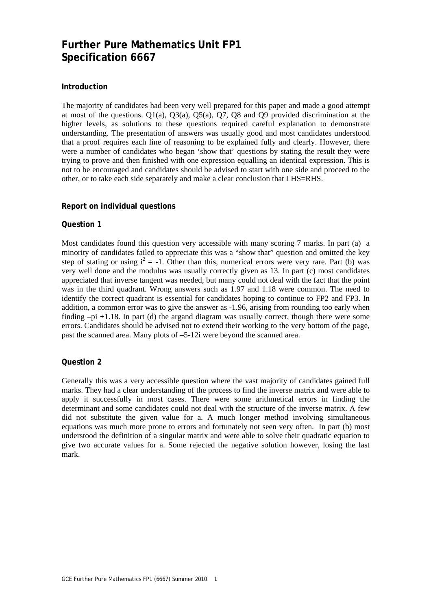### **Further Pure Mathematics Unit FP1 Specification 6667**

#### **Introduction**

The majority of candidates had been very well prepared for this paper and made a good attempt at most of the questions. Q1(a), Q3(a), Q5(a), Q7, Q8 and Q9 provided discrimination at the higher levels, as solutions to these questions required careful explanation to demonstrate understanding. The presentation of answers was usually good and most candidates understood that a proof requires each line of reasoning to be explained fully and clearly. However, there were a number of candidates who began 'show that' questions by stating the result they were trying to prove and then finished with one expression equalling an identical expression. This is not to be encouraged and candidates should be advised to start with one side and proceed to the other, or to take each side separately and make a clear conclusion that LHS=RHS.

#### **Report on individual questions**

#### **Question 1**

Most candidates found this question very accessible with many scoring 7 marks. In part (a) a minority of candidates failed to appreciate this was a "show that" question and omitted the key step of stating or using  $i^2 = -1$ . Other than this, numerical errors were very rare. Part (b) was very well done and the modulus was usually correctly given as 13. In part (c) most candidates appreciated that inverse tangent was needed, but many could not deal with the fact that the point was in the third quadrant. Wrong answers such as 1.97 and 1.18 were common. The need to identify the correct quadrant is essential for candidates hoping to continue to FP2 and FP3. In addition, a common error was to give the answer as -1.96, arising from rounding too early when finding  $-pi +1.18$ . In part (d) the argand diagram was usually correct, though there were some errors. Candidates should be advised not to extend their working to the very bottom of the page, past the scanned area. Many plots of –5-12i were beyond the scanned area.

#### **Question 2**

Generally this was a very accessible question where the vast majority of candidates gained full marks. They had a clear understanding of the process to find the inverse matrix and were able to apply it successfully in most cases. There were some arithmetical errors in finding the determinant and some candidates could not deal with the structure of the inverse matrix. A few did not substitute the given value for a. A much longer method involving simultaneous equations was much more prone to errors and fortunately not seen very often. In part (b) most understood the definition of a singular matrix and were able to solve their quadratic equation to give two accurate values for a. Some rejected the negative solution however, losing the last mark.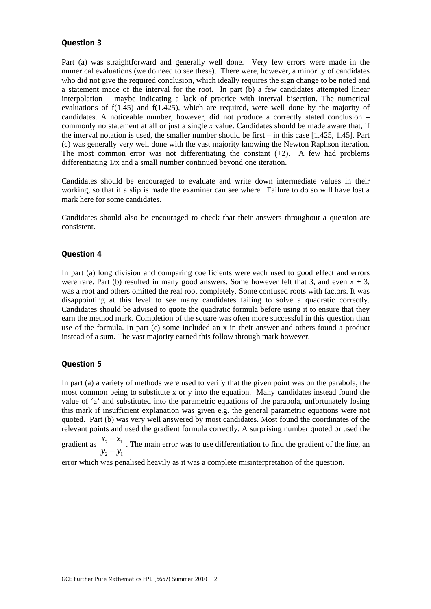Part (a) was straightforward and generally well done. Very few errors were made in the numerical evaluations (we do need to see these). There were, however, a minority of candidates who did not give the required conclusion, which ideally requires the sign change to be noted and a statement made of the interval for the root. In part (b) a few candidates attempted linear interpolation – maybe indicating a lack of practice with interval bisection. The numerical evaluations of f(1.45) and f(1.425), which are required, were well done by the majority of candidates. A noticeable number, however, did not produce a correctly stated conclusion – commonly no statement at all or just a single *x* value. Candidates should be made aware that, if the interval notation is used, the smaller number should be first – in this case [1.425, 1.45]. Part (c) was generally very well done with the vast majority knowing the Newton Raphson iteration. The most common error was not differentiating the constant  $(+2)$ . A few had problems differentiating 1/x and a small number continued beyond one iteration.

Candidates should be encouraged to evaluate and write down intermediate values in their working, so that if a slip is made the examiner can see where. Failure to do so will have lost a mark here for some candidates.

Candidates should also be encouraged to check that their answers throughout a question are consistent.

#### **Question 4**

In part (a) long division and comparing coefficients were each used to good effect and errors were rare. Part (b) resulted in many good answers. Some however felt that 3, and even  $x + 3$ , was a root and others omitted the real root completely. Some confused roots with factors. It was disappointing at this level to see many candidates failing to solve a quadratic correctly. Candidates should be advised to quote the quadratic formula before using it to ensure that they earn the method mark. Completion of the square was often more successful in this question than use of the formula. In part (c) some included an x in their answer and others found a product instead of a sum. The vast majority earned this follow through mark however.

#### **Question 5**

In part (a) a variety of methods were used to verify that the given point was on the parabola, the most common being to substitute x or y into the equation. Many candidates instead found the value of 'a' and substituted into the parametric equations of the parabola, unfortunately losing this mark if insufficient explanation was given e.g. the general parametric equations were not quoted. Part (b) was very well answered by most candidates. Most found the coordinates of the relevant points and used the gradient formula correctly. A surprising number quoted or used the

gradient as  $\frac{x_2 - x_1}{x_2 - x_1}$  $2 - y_1$  $x_2 - x$  $y_2 - y$ −  $\frac{v_1}{-y_1}$ . The main error was to use differentiation to find the gradient of the line, an  $-y_1$ 

error which was penalised heavily as it was a complete misinterpretation of the question.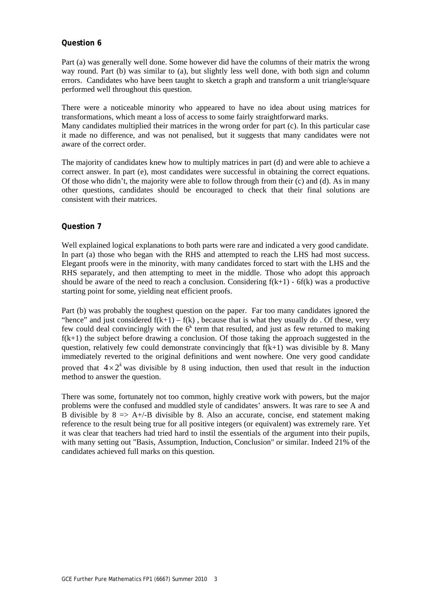Part (a) was generally well done. Some however did have the columns of their matrix the wrong way round. Part (b) was similar to (a), but slightly less well done, with both sign and column errors. Candidates who have been taught to sketch a graph and transform a unit triangle/square performed well throughout this question.

There were a noticeable minority who appeared to have no idea about using matrices for transformations, which meant a loss of access to some fairly straightforward marks. Many candidates multiplied their matrices in the wrong order for part (c). In this particular case it made no difference, and was not penalised, but it suggests that many candidates were not aware of the correct order.

The majority of candidates knew how to multiply matrices in part (d) and were able to achieve a correct answer. In part (e), most candidates were successful in obtaining the correct equations. Of those who didn't, the majority were able to follow through from their (c) and (d). As in many other questions, candidates should be encouraged to check that their final solutions are consistent with their matrices.

#### **Question 7**

Well explained logical explanations to both parts were rare and indicated a very good candidate. In part (a) those who began with the RHS and attempted to reach the LHS had most success. Elegant proofs were in the minority, with many candidates forced to start with the LHS and the RHS separately, and then attempting to meet in the middle. Those who adopt this approach should be aware of the need to reach a conclusion. Considering  $f(k+1)$  - 6f(k) was a productive starting point for some, yielding neat efficient proofs.

Part (b) was probably the toughest question on the paper. Far too many candidates ignored the "hence" and just considered  $f(k+1) - f(k)$ , because that is what they usually do. Of these, very few could deal convincingly with the  $6<sup>k</sup>$  term that resulted, and just as few returned to making  $f(k+1)$  the subject before drawing a conclusion. Of those taking the approach suggested in the question, relatively few could demonstrate convincingly that  $f(k+1)$  was divisible by 8. Many immediately reverted to the original definitions and went nowhere. One very good candidate proved that  $4 \times 2^k$  was divisible by 8 using induction, then used that result in the induction method to answer the question.

There was some, fortunately not too common, highly creative work with powers, but the major problems were the confused and muddled style of candidates' answers. It was rare to see A and B divisible by  $8 \implies A + / -B$  divisible by 8. Also an accurate, concise, end statement making reference to the result being true for all positive integers (or equivalent) was extremely rare. Yet it was clear that teachers had tried hard to instil the essentials of the argument into their pupils, with many setting out "Basis, Assumption, Induction, Conclusion" or similar. Indeed 21% of the candidates achieved full marks on this question.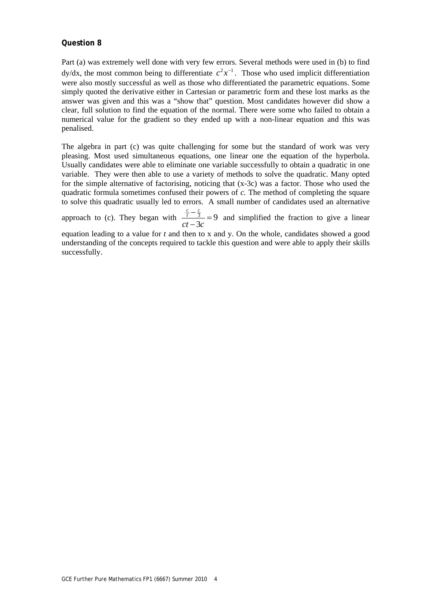Part (a) was extremely well done with very few errors. Several methods were used in (b) to find  $dy/dx$ , the most common being to differentiate  $c^2x^{-1}$ . Those who used implicit differentiation were also mostly successful as well as those who differentiated the parametric equations. Some simply quoted the derivative either in Cartesian or parametric form and these lost marks as the answer was given and this was a "show that" question. Most candidates however did show a clear, full solution to find the equation of the normal. There were some who failed to obtain a numerical value for the gradient so they ended up with a non-linear equation and this was penalised.

The algebra in part (c) was quite challenging for some but the standard of work was very pleasing. Most used simultaneous equations, one linear one the equation of the hyperbola. Usually candidates were able to eliminate one variable successfully to obtain a quadratic in one variable. They were then able to use a variety of methods to solve the quadratic. Many opted for the simple alternative of factorising, noticing that (x-3c) was a factor. Those who used the quadratic formula sometimes confused their powers of *c.* The method of completing the square to solve this quadratic usually led to errors. A small number of candidates used an alternative

approach to (c). They began with  $\frac{t}{\epsilon} = 9$ 3  $\frac{c}{t} - \frac{c}{3}$  $\frac{c}{t} - \frac{c}{3}$  = 9 and simplified the fraction to give a linear

equation leading to a value for *t* and then to x and y. On the whole, candidates showed a good understanding of the concepts required to tackle this question and were able to apply their skills successfully.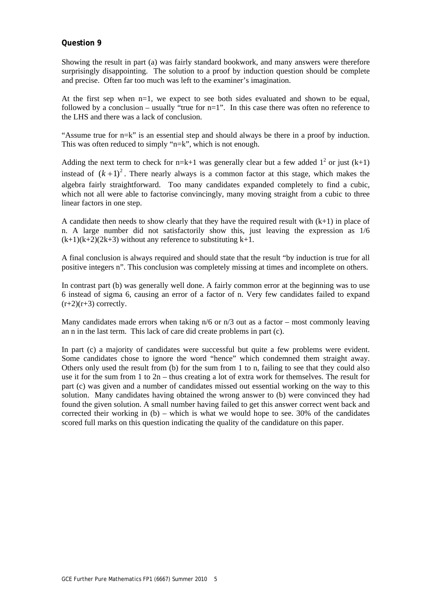Showing the result in part (a) was fairly standard bookwork, and many answers were therefore surprisingly disappointing. The solution to a proof by induction question should be complete and precise. Often far too much was left to the examiner's imagination.

At the first sep when n=1, we expect to see both sides evaluated and shown to be equal, followed by a conclusion – usually "true for  $n=1$ ". In this case there was often no reference to the LHS and there was a lack of conclusion.

"Assume true for n=k" is an essential step and should always be there in a proof by induction. This was often reduced to simply "n=k", which is not enough.

Adding the next term to check for n=k+1 was generally clear but a few added  $1^2$  or just (k+1) instead of  $(k + 1)^2$ . There nearly always is a common factor at this stage, which makes the algebra fairly straightforward. Too many candidates expanded completely to find a cubic, which not all were able to factorise convincingly, many moving straight from a cubic to three linear factors in one step.

A candidate then needs to show clearly that they have the required result with  $(k+1)$  in place of n. A large number did not satisfactorily show this, just leaving the expression as 1/6  $(k+1)(k+2)(2k+3)$  without any reference to substituting  $k+1$ .

A final conclusion is always required and should state that the result "by induction is true for all positive integers n". This conclusion was completely missing at times and incomplete on others.

In contrast part (b) was generally well done. A fairly common error at the beginning was to use 6 instead of sigma 6, causing an error of a factor of n. Very few candidates failed to expand  $(r+2)(r+3)$  correctly.

Many candidates made errors when taking  $n/6$  or  $n/3$  out as a factor – most commonly leaving an n in the last term. This lack of care did create problems in part (c).

In part (c) a majority of candidates were successful but quite a few problems were evident. Some candidates chose to ignore the word "hence" which condemned them straight away. Others only used the result from (b) for the sum from 1 to n, failing to see that they could also use it for the sum from 1 to 2n – thus creating a lot of extra work for themselves. The result for part (c) was given and a number of candidates missed out essential working on the way to this solution. Many candidates having obtained the wrong answer to (b) were convinced they had found the given solution. A small number having failed to get this answer correct went back and corrected their working in  $(b)$  – which is what we would hope to see. 30% of the candidates scored full marks on this question indicating the quality of the candidature on this paper.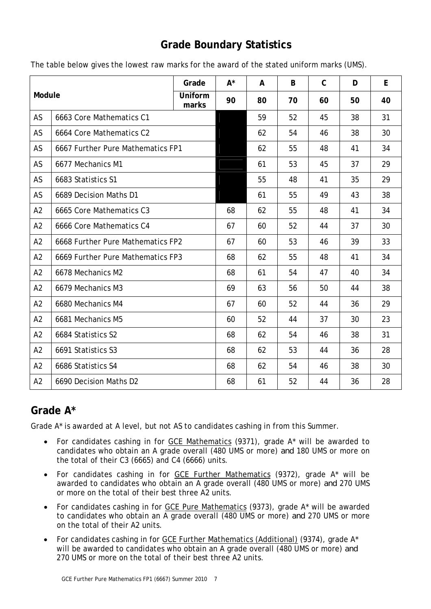## **Grade Boundary Statistics**

| Module         |                                   | Grade            | $A^*$ | A  | B  | $\mathsf{C}$ | D  | E  |
|----------------|-----------------------------------|------------------|-------|----|----|--------------|----|----|
|                |                                   | Uniform<br>marks | 90    | 80 | 70 | 60           | 50 | 40 |
| AS             | 6663 Core Mathematics C1          |                  |       | 59 | 52 | 45           | 38 | 31 |
| AS             | 6664 Core Mathematics C2          |                  |       | 62 | 54 | 46           | 38 | 30 |
| AS             | 6667 Further Pure Mathematics FP1 |                  |       | 62 | 55 | 48           | 41 | 34 |
| AS             | 6677 Mechanics M1                 |                  |       | 61 | 53 | 45           | 37 | 29 |
| AS             | 6683 Statistics S1                |                  |       | 55 | 48 | 41           | 35 | 29 |
| AS             | 6689 Decision Maths D1            |                  |       | 61 | 55 | 49           | 43 | 38 |
| A2             | 6665 Core Mathematics C3          |                  | 68    | 62 | 55 | 48           | 41 | 34 |
| A2             | 6666 Core Mathematics C4          |                  | 67    | 60 | 52 | 44           | 37 | 30 |
| A2             | 6668 Further Pure Mathematics FP2 |                  | 67    | 60 | 53 | 46           | 39 | 33 |
| A2             | 6669 Further Pure Mathematics FP3 |                  | 68    | 62 | 55 | 48           | 41 | 34 |
| A <sub>2</sub> | 6678 Mechanics M2                 |                  | 68    | 61 | 54 | 47           | 40 | 34 |
| A2             | 6679 Mechanics M3                 |                  | 69    | 63 | 56 | 50           | 44 | 38 |
| A2             | 6680 Mechanics M4                 |                  | 67    | 60 | 52 | 44           | 36 | 29 |
| A2             | 6681 Mechanics M5                 |                  | 60    | 52 | 44 | 37           | 30 | 23 |
| A2             | 6684 Statistics S2                |                  | 68    | 62 | 54 | 46           | 38 | 31 |
| A2             | 6691 Statistics S3                |                  | 68    | 62 | 53 | 44           | 36 | 28 |
| A2             | 6686 Statistics S4                |                  | 68    | 62 | 54 | 46           | 38 | 30 |
| A2             | 6690 Decision Maths D2            |                  | 68    | 61 | 52 | 44           | 36 | 28 |

The table below gives the lowest raw marks for the award of the stated uniform marks (UMS).

## **Grade A\***

Grade A\* is awarded at A level, but not AS to candidates cashing in from this Summer.

- For candidates cashing in for GCE Mathematics (9371), grade A\* will be awarded to candidates who obtain an A grade overall (480 UMS or more) *and* 180 UMS or more on the total of their C3 (6665) and C4 (6666) units.
- For candidates cashing in for GCE Further Mathematics (9372), grade A\* will be awarded to candidates who obtain an A grade overall (480 UMS or more) *and* 270 UMS or more on the total of their best three A2 units.
- For candidates cashing in for GCE Pure Mathematics (9373), grade A\* will be awarded to candidates who obtain an A grade overall (480 UMS or more) *and* 270 UMS or more on the total of their A2 units.
- For candidates cashing in for GCE Further Mathematics (Additional) (9374), grade A\* will be awarded to candidates who obtain an A grade overall (480 UMS or more) *and*  270 UMS or more on the total of their best three A2 units.